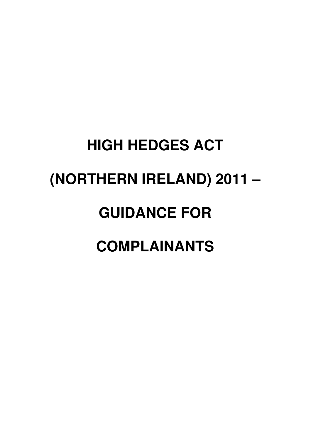# **HIGH HEDGES ACT (NORTHERN IRELAND) 2011 – GUIDANCE FOR COMPLAINANTS**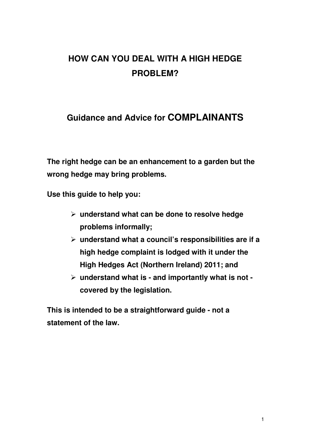# **HOW CAN YOU DEAL WITH A HIGH HEDGE PROBLEM?**

# **Guidance and Advice for COMPLAINANTS**

**The right hedge can be an enhancement to a garden but the wrong hedge may bring problems.** 

**Use this guide to help you:** 

- **understand what can be done to resolve hedge problems informally;**
- **understand what a council's responsibilities are if a high hedge complaint is lodged with it under the High Hedges Act (Northern Ireland) 2011; and**
- **understand what is and importantly what is not covered by the legislation.**

**This is intended to be a straightforward guide - not a statement of the law.**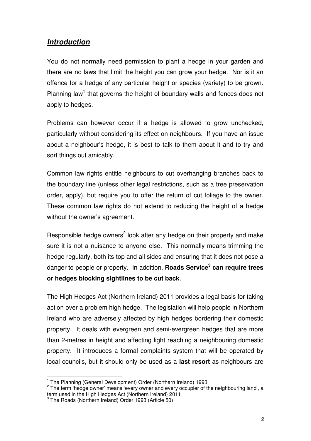## **Introduction**

You do not normally need permission to plant a hedge in your garden and there are no laws that limit the height you can grow your hedge. Nor is it an offence for a hedge of any particular height or species (variety) to be grown. Planning law<sup>1</sup> that governs the height of boundary walls and fences does not apply to hedges.

Problems can however occur if a hedge is allowed to grow unchecked, particularly without considering its effect on neighbours. If you have an issue about a neighbour's hedge, it is best to talk to them about it and to try and sort things out amicably.

Common law rights entitle neighbours to cut overhanging branches back to the boundary line (unless other legal restrictions, such as a tree preservation order, apply), but require you to offer the return of cut foliage to the owner. These common law rights do not extend to reducing the height of a hedge without the owner's agreement.

Responsible hedge owners<sup>2</sup> look after any hedge on their property and make sure it is not a nuisance to anyone else. This normally means trimming the hedge regularly, both its top and all sides and ensuring that it does not pose a danger to people or property. In addition, **Roads Service<sup>3</sup> can require trees or hedges blocking sightlines to be cut back**.

The High Hedges Act (Northern Ireland) 2011 provides a legal basis for taking action over a problem high hedge. The legislation will help people in Northern Ireland who are adversely affected by high hedges bordering their domestic property. It deals with evergreen and semi-evergreen hedges that are more than 2-metres in height and affecting light reaching a neighbouring domestic property. It introduces a formal complaints system that will be operated by local councils, but it should only be used as a **last resort** as neighbours are

 1 The Planning (General Development) Order (Northern Ireland) 1993

 $2$  The term 'hedge owner' means 'every owner and every occupier of the neighbouring land', a term used in the High Hedges Act (Northern Ireland) 2011

<sup>&</sup>lt;sup>3</sup> The Roads (Northern Ireland) Order 1993 (Article 50)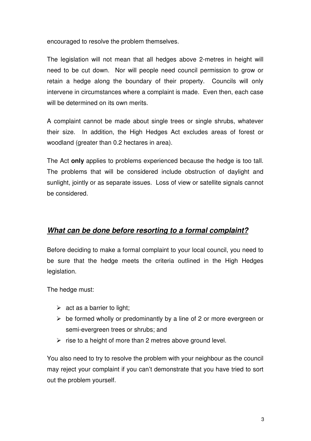encouraged to resolve the problem themselves.

The legislation will not mean that all hedges above 2-metres in height will need to be cut down. Nor will people need council permission to grow or retain a hedge along the boundary of their property. Councils will only intervene in circumstances where a complaint is made. Even then, each case will be determined on its own merits.

A complaint cannot be made about single trees or single shrubs, whatever their size. In addition, the High Hedges Act excludes areas of forest or woodland (greater than 0.2 hectares in area).

The Act **only** applies to problems experienced because the hedge is too tall. The problems that will be considered include obstruction of daylight and sunlight, jointly or as separate issues. Loss of view or satellite signals cannot be considered.

## **What can be done before resorting to a formal complaint?**

Before deciding to make a formal complaint to your local council, you need to be sure that the hedge meets the criteria outlined in the High Hedges legislation.

The hedge must:

- $\triangleright$  act as a barrier to light;
- $\triangleright$  be formed wholly or predominantly by a line of 2 or more evergreen or semi-evergreen trees or shrubs; and
- $\triangleright$  rise to a height of more than 2 metres above ground level.

You also need to try to resolve the problem with your neighbour as the council may reject your complaint if you can't demonstrate that you have tried to sort out the problem yourself.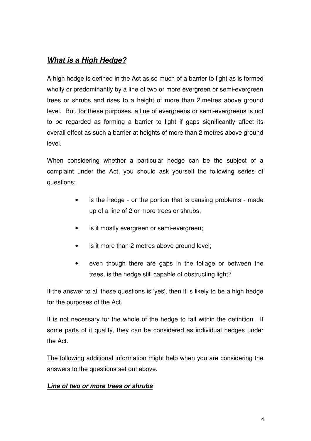## **What is a High Hedge?**

A high hedge is defined in the Act as so much of a barrier to light as is formed wholly or predominantly by a line of two or more evergreen or semi-evergreen trees or shrubs and rises to a height of more than 2 metres above ground level. But, for these purposes, a line of evergreens or semi-evergreens is not to be regarded as forming a barrier to light if gaps significantly affect its overall effect as such a barrier at heights of more than 2 metres above ground level.

When considering whether a particular hedge can be the subject of a complaint under the Act, you should ask yourself the following series of questions:

- is the hedge or the portion that is causing problems made up of a line of 2 or more trees or shrubs;
- is it mostly evergreen or semi-evergreen;
- is it more than 2 metres above ground level;
- even though there are gaps in the foliage or between the trees, is the hedge still capable of obstructing light?

If the answer to all these questions is 'yes', then it is likely to be a high hedge for the purposes of the Act.

It is not necessary for the whole of the hedge to fall within the definition. If some parts of it qualify, they can be considered as individual hedges under the Act.

The following additional information might help when you are considering the answers to the questions set out above.

#### **Line of two or more trees or shrubs**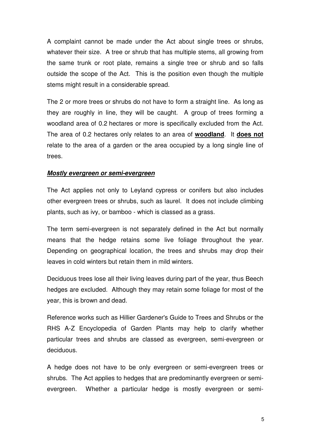A complaint cannot be made under the Act about single trees or shrubs, whatever their size. A tree or shrub that has multiple stems, all growing from the same trunk or root plate, remains a single tree or shrub and so falls outside the scope of the Act. This is the position even though the multiple stems might result in a considerable spread.

The 2 or more trees or shrubs do not have to form a straight line. As long as they are roughly in line, they will be caught. A group of trees forming a woodland area of 0.2 hectares or more is specifically excluded from the Act. The area of 0.2 hectares only relates to an area of **woodland**. It **does not** relate to the area of a garden or the area occupied by a long single line of trees.

#### **Mostly evergreen or semi-evergreen**

The Act applies not only to Leyland cypress or conifers but also includes other evergreen trees or shrubs, such as laurel. It does not include climbing plants, such as ivy, or bamboo - which is classed as a grass.

The term semi-evergreen is not separately defined in the Act but normally means that the hedge retains some live foliage throughout the year. Depending on geographical location, the trees and shrubs may drop their leaves in cold winters but retain them in mild winters.

Deciduous trees lose all their living leaves during part of the year, thus Beech hedges are excluded. Although they may retain some foliage for most of the year, this is brown and dead.

Reference works such as Hillier Gardener's Guide to Trees and Shrubs or the RHS A-Z Encyclopedia of Garden Plants may help to clarify whether particular trees and shrubs are classed as evergreen, semi-evergreen or deciduous.

A hedge does not have to be only evergreen or semi-evergreen trees or shrubs. The Act applies to hedges that are predominantly evergreen or semievergreen. Whether a particular hedge is mostly evergreen or semi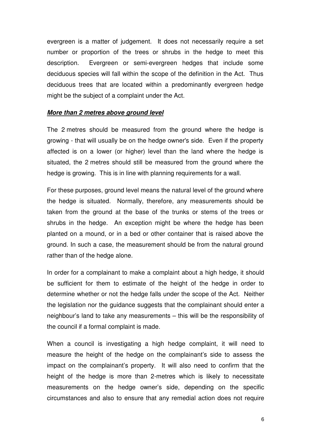evergreen is a matter of judgement. It does not necessarily require a set number or proportion of the trees or shrubs in the hedge to meet this description. Evergreen or semi-evergreen hedges that include some deciduous species will fall within the scope of the definition in the Act. Thus deciduous trees that are located within a predominantly evergreen hedge might be the subject of a complaint under the Act.

#### **More than 2 metres above ground level**

The 2 metres should be measured from the ground where the hedge is growing - that will usually be on the hedge owner's side. Even if the property affected is on a lower (or higher) level than the land where the hedge is situated, the 2 metres should still be measured from the ground where the hedge is growing. This is in line with planning requirements for a wall.

For these purposes, ground level means the natural level of the ground where the hedge is situated. Normally, therefore, any measurements should be taken from the ground at the base of the trunks or stems of the trees or shrubs in the hedge. An exception might be where the hedge has been planted on a mound, or in a bed or other container that is raised above the ground. In such a case, the measurement should be from the natural ground rather than of the hedge alone.

In order for a complainant to make a complaint about a high hedge, it should be sufficient for them to estimate of the height of the hedge in order to determine whether or not the hedge falls under the scope of the Act. Neither the legislation nor the guidance suggests that the complainant should enter a neighbour's land to take any measurements – this will be the responsibility of the council if a formal complaint is made.

When a council is investigating a high hedge complaint, it will need to measure the height of the hedge on the complainant's side to assess the impact on the complainant's property. It will also need to confirm that the height of the hedge is more than 2-metres which is likely to necessitate measurements on the hedge owner's side, depending on the specific circumstances and also to ensure that any remedial action does not require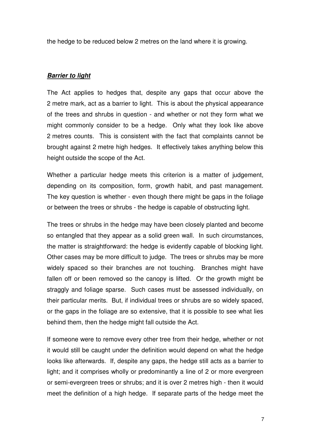the hedge to be reduced below 2 metres on the land where it is growing.

## **Barrier to light**

The Act applies to hedges that, despite any gaps that occur above the 2 metre mark, act as a barrier to light. This is about the physical appearance of the trees and shrubs in question - and whether or not they form what we might commonly consider to be a hedge. Only what they look like above 2 metres counts. This is consistent with the fact that complaints cannot be brought against 2 metre high hedges. It effectively takes anything below this height outside the scope of the Act.

Whether a particular hedge meets this criterion is a matter of judgement, depending on its composition, form, growth habit, and past management. The key question is whether - even though there might be gaps in the foliage or between the trees or shrubs - the hedge is capable of obstructing light.

The trees or shrubs in the hedge may have been closely planted and become so entangled that they appear as a solid green wall. In such circumstances, the matter is straightforward: the hedge is evidently capable of blocking light. Other cases may be more difficult to judge. The trees or shrubs may be more widely spaced so their branches are not touching. Branches might have fallen off or been removed so the canopy is lifted. Or the growth might be straggly and foliage sparse. Such cases must be assessed individually, on their particular merits. But, if individual trees or shrubs are so widely spaced, or the gaps in the foliage are so extensive, that it is possible to see what lies behind them, then the hedge might fall outside the Act.

If someone were to remove every other tree from their hedge, whether or not it would still be caught under the definition would depend on what the hedge looks like afterwards. If, despite any gaps, the hedge still acts as a barrier to light; and it comprises wholly or predominantly a line of 2 or more evergreen or semi-evergreen trees or shrubs; and it is over 2 metres high - then it would meet the definition of a high hedge. If separate parts of the hedge meet the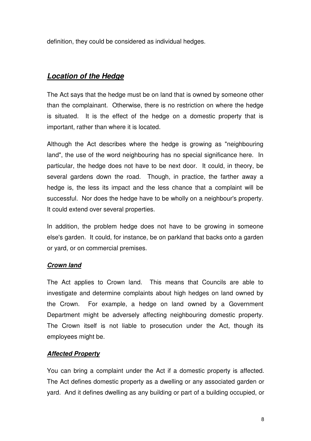definition, they could be considered as individual hedges.

## **Location of the Hedge**

The Act says that the hedge must be on land that is owned by someone other than the complainant. Otherwise, there is no restriction on where the hedge is situated. It is the effect of the hedge on a domestic property that is important, rather than where it is located.

Although the Act describes where the hedge is growing as "neighbouring land", the use of the word neighbouring has no special significance here. In particular, the hedge does not have to be next door. It could, in theory, be several gardens down the road. Though, in practice, the farther away a hedge is, the less its impact and the less chance that a complaint will be successful. Nor does the hedge have to be wholly on a neighbour's property. It could extend over several properties.

In addition, the problem hedge does not have to be growing in someone else's garden. It could, for instance, be on parkland that backs onto a garden or yard, or on commercial premises.

#### **Crown land**

The Act applies to Crown land. This means that Councils are able to investigate and determine complaints about high hedges on land owned by the Crown. For example, a hedge on land owned by a Government Department might be adversely affecting neighbouring domestic property. The Crown itself is not liable to prosecution under the Act, though its employees might be.

## **Affected Property**

You can bring a complaint under the Act if a domestic property is affected. The Act defines domestic property as a dwelling or any associated garden or yard. And it defines dwelling as any building or part of a building occupied, or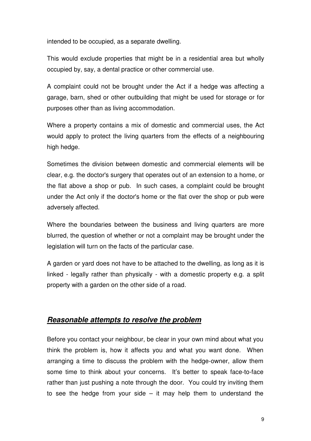intended to be occupied, as a separate dwelling.

This would exclude properties that might be in a residential area but wholly occupied by, say, a dental practice or other commercial use.

A complaint could not be brought under the Act if a hedge was affecting a garage, barn, shed or other outbuilding that might be used for storage or for purposes other than as living accommodation.

Where a property contains a mix of domestic and commercial uses, the Act would apply to protect the living quarters from the effects of a neighbouring high hedge.

Sometimes the division between domestic and commercial elements will be clear, e.g. the doctor's surgery that operates out of an extension to a home, or the flat above a shop or pub. In such cases, a complaint could be brought under the Act only if the doctor's home or the flat over the shop or pub were adversely affected.

Where the boundaries between the business and living quarters are more blurred, the question of whether or not a complaint may be brought under the legislation will turn on the facts of the particular case.

A garden or yard does not have to be attached to the dwelling, as long as it is linked - legally rather than physically - with a domestic property e.g. a split property with a garden on the other side of a road.

#### **Reasonable attempts to resolve the problem**

Before you contact your neighbour, be clear in your own mind about what you think the problem is, how it affects you and what you want done. When arranging a time to discuss the problem with the hedge-owner, allow them some time to think about your concerns. It's better to speak face-to-face rather than just pushing a note through the door. You could try inviting them to see the hedge from your side  $-$  it may help them to understand the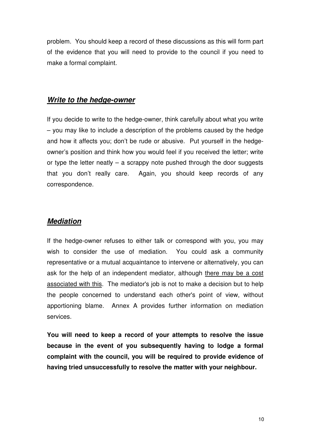problem. You should keep a record of these discussions as this will form part of the evidence that you will need to provide to the council if you need to make a formal complaint.

#### **Write to the hedge-owner**

If you decide to write to the hedge-owner, think carefully about what you write – you may like to include a description of the problems caused by the hedge and how it affects you; don't be rude or abusive. Put yourself in the hedgeowner's position and think how you would feel if you received the letter; write or type the letter neatly  $-$  a scrappy note pushed through the door suggests that you don't really care. Again, you should keep records of any correspondence.

## **Mediation**

If the hedge-owner refuses to either talk or correspond with you, you may wish to consider the use of mediation. You could ask a community representative or a mutual acquaintance to intervene or alternatively, you can ask for the help of an independent mediator, although there may be a cost associated with this. The mediator's job is not to make a decision but to help the people concerned to understand each other's point of view, without apportioning blame. Annex A provides further information on mediation services.

**You will need to keep a record of your attempts to resolve the issue because in the event of you subsequently having to lodge a formal complaint with the council, you will be required to provide evidence of having tried unsuccessfully to resolve the matter with your neighbour.**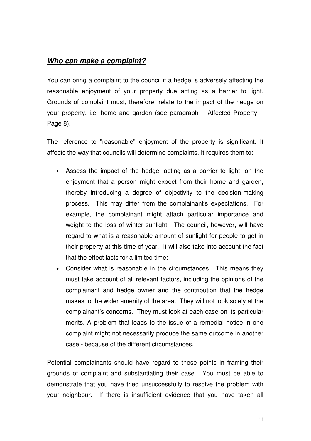## **Who can make a complaint?**

You can bring a complaint to the council if a hedge is adversely affecting the reasonable enjoyment of your property due acting as a barrier to light. Grounds of complaint must, therefore, relate to the impact of the hedge on your property, i.e. home and garden (see paragraph – Affected Property – Page 8).

The reference to "reasonable" enjoyment of the property is significant. It affects the way that councils will determine complaints. It requires them to:

- Assess the impact of the hedge, acting as a barrier to light, on the enjoyment that a person might expect from their home and garden, thereby introducing a degree of objectivity to the decision-making process. This may differ from the complainant's expectations. For example, the complainant might attach particular importance and weight to the loss of winter sunlight. The council, however, will have regard to what is a reasonable amount of sunlight for people to get in their property at this time of year. It will also take into account the fact that the effect lasts for a limited time;
- Consider what is reasonable in the circumstances. This means they must take account of all relevant factors, including the opinions of the complainant and hedge owner and the contribution that the hedge makes to the wider amenity of the area. They will not look solely at the complainant's concerns. They must look at each case on its particular merits. A problem that leads to the issue of a remedial notice in one complaint might not necessarily produce the same outcome in another case - because of the different circumstances.

Potential complainants should have regard to these points in framing their grounds of complaint and substantiating their case. You must be able to demonstrate that you have tried unsuccessfully to resolve the problem with your neighbour. If there is insufficient evidence that you have taken all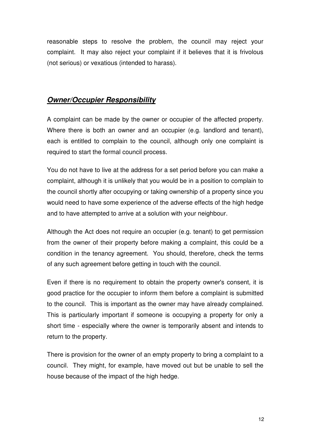reasonable steps to resolve the problem, the council may reject your complaint. It may also reject your complaint if it believes that it is frivolous (not serious) or vexatious (intended to harass).

#### **Owner/Occupier Responsibility**

A complaint can be made by the owner or occupier of the affected property. Where there is both an owner and an occupier (e.g. landlord and tenant), each is entitled to complain to the council, although only one complaint is required to start the formal council process.

You do not have to live at the address for a set period before you can make a complaint, although it is unlikely that you would be in a position to complain to the council shortly after occupying or taking ownership of a property since you would need to have some experience of the adverse effects of the high hedge and to have attempted to arrive at a solution with your neighbour.

Although the Act does not require an occupier (e.g. tenant) to get permission from the owner of their property before making a complaint, this could be a condition in the tenancy agreement. You should, therefore, check the terms of any such agreement before getting in touch with the council.

Even if there is no requirement to obtain the property owner's consent, it is good practice for the occupier to inform them before a complaint is submitted to the council. This is important as the owner may have already complained. This is particularly important if someone is occupying a property for only a short time - especially where the owner is temporarily absent and intends to return to the property.

There is provision for the owner of an empty property to bring a complaint to a council. They might, for example, have moved out but be unable to sell the house because of the impact of the high hedge.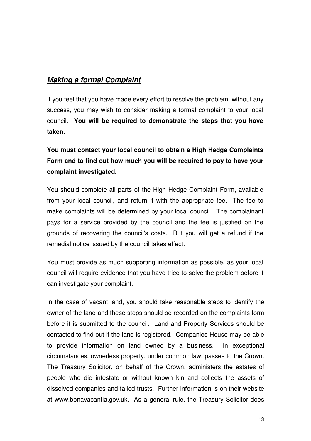## **Making a formal Complaint**

If you feel that you have made every effort to resolve the problem, without any success, you may wish to consider making a formal complaint to your local council. **You will be required to demonstrate the steps that you have taken**.

## **You must contact your local council to obtain a High Hedge Complaints Form and to find out how much you will be required to pay to have your complaint investigated.**

You should complete all parts of the High Hedge Complaint Form, available from your local council, and return it with the appropriate fee. The fee to make complaints will be determined by your local council. The complainant pays for a service provided by the council and the fee is justified on the grounds of recovering the council's costs. But you will get a refund if the remedial notice issued by the council takes effect.

You must provide as much supporting information as possible, as your local council will require evidence that you have tried to solve the problem before it can investigate your complaint.

In the case of vacant land, you should take reasonable steps to identify the owner of the land and these steps should be recorded on the complaints form before it is submitted to the council. Land and Property Services should be contacted to find out if the land is registered. Companies House may be able to provide information on land owned by a business. In exceptional circumstances, ownerless property, under common law, passes to the Crown. The Treasury Solicitor, on behalf of the Crown, administers the estates of people who die intestate or without known kin and collects the assets of dissolved companies and failed trusts. Further information is on their website at www.bonavacantia.gov.uk. As a general rule, the Treasury Solicitor does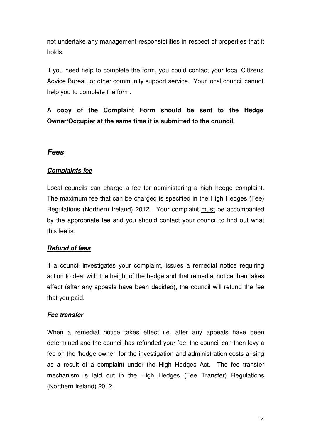not undertake any management responsibilities in respect of properties that it holds.

If you need help to complete the form, you could contact your local Citizens Advice Bureau or other community support service. Your local council cannot help you to complete the form.

**A copy of the Complaint Form should be sent to the Hedge Owner/Occupier at the same time it is submitted to the council.** 

## **Fees**

#### **Complaints fee**

Local councils can charge a fee for administering a high hedge complaint. The maximum fee that can be charged is specified in the High Hedges (Fee) Regulations (Northern Ireland) 2012. Your complaint must be accompanied by the appropriate fee and you should contact your council to find out what this fee is.

#### **Refund of fees**

If a council investigates your complaint, issues a remedial notice requiring action to deal with the height of the hedge and that remedial notice then takes effect (after any appeals have been decided), the council will refund the fee that you paid.

#### **Fee transfer**

When a remedial notice takes effect i.e. after any appeals have been determined and the council has refunded your fee, the council can then levy a fee on the 'hedge owner' for the investigation and administration costs arising as a result of a complaint under the High Hedges Act. The fee transfer mechanism is laid out in the High Hedges (Fee Transfer) Regulations (Northern Ireland) 2012.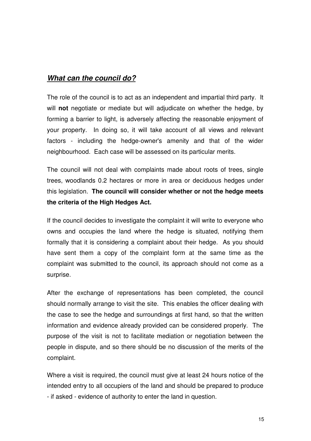## **What can the council do?**

The role of the council is to act as an independent and impartial third party. It will **not** negotiate or mediate but will adjudicate on whether the hedge, by forming a barrier to light, is adversely affecting the reasonable enjoyment of your property. In doing so, it will take account of all views and relevant factors - including the hedge-owner's amenity and that of the wider neighbourhood. Each case will be assessed on its particular merits.

The council will not deal with complaints made about roots of trees, single trees, woodlands 0.2 hectares or more in area or deciduous hedges under this legislation. **The council will consider whether or not the hedge meets the criteria of the High Hedges Act.** 

If the council decides to investigate the complaint it will write to everyone who owns and occupies the land where the hedge is situated, notifying them formally that it is considering a complaint about their hedge. As you should have sent them a copy of the complaint form at the same time as the complaint was submitted to the council, its approach should not come as a surprise.

After the exchange of representations has been completed, the council should normally arrange to visit the site. This enables the officer dealing with the case to see the hedge and surroundings at first hand, so that the written information and evidence already provided can be considered properly. The purpose of the visit is not to facilitate mediation or negotiation between the people in dispute, and so there should be no discussion of the merits of the complaint.

Where a visit is required, the council must give at least 24 hours notice of the intended entry to all occupiers of the land and should be prepared to produce - if asked - evidence of authority to enter the land in question.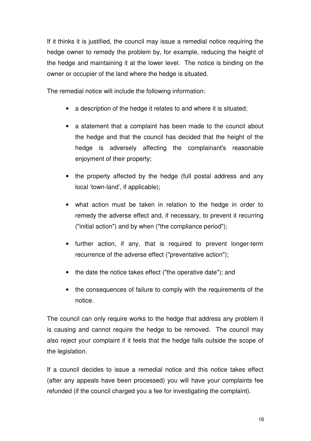If it thinks it is justified, the council may issue a remedial notice requiring the hedge owner to remedy the problem by, for example, reducing the height of the hedge and maintaining it at the lower level. The notice is binding on the owner or occupier of the land where the hedge is situated.

The remedial notice will include the following information:

- a description of the hedge it relates to and where it is situated;
- a statement that a complaint has been made to the council about the hedge and that the council has decided that the height of the hedge is adversely affecting the complainant's reasonable enjoyment of their property;
- the property affected by the hedge (full postal address and any local 'town-land', if applicable);
- what action must be taken in relation to the hedge in order to remedy the adverse effect and, if necessary, to prevent it recurring ("initial action") and by when ("the compliance period");
- further action, if any, that is required to prevent longer-term recurrence of the adverse effect ("preventative action");
- the date the notice takes effect ("the operative date"); and
- the consequences of failure to comply with the requirements of the notice.

The council can only require works to the hedge that address any problem it is causing and cannot require the hedge to be removed. The council may also reject your complaint if it feels that the hedge falls outside the scope of the legislation.

If a council decides to issue a remedial notice and this notice takes effect (after any appeals have been processed) you will have your complaints fee refunded (if the council charged you a fee for investigating the complaint).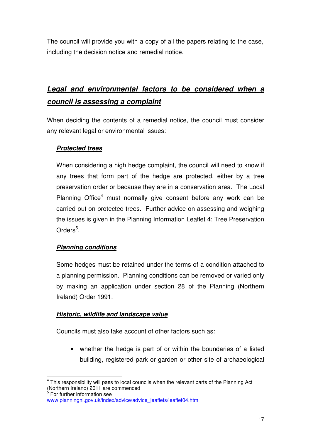The council will provide you with a copy of all the papers relating to the case, including the decision notice and remedial notice.

## **Legal and environmental factors to be considered when a council is assessing a complaint**

When deciding the contents of a remedial notice, the council must consider any relevant legal or environmental issues:

## **Protected trees**

When considering a high hedge complaint, the council will need to know if any trees that form part of the hedge are protected, either by a tree preservation order or because they are in a conservation area. The Local Planning Office<sup>4</sup> must normally give consent before any work can be carried out on protected trees. Further advice on assessing and weighing the issues is given in the Planning Information Leaflet 4: Tree Preservation Orders<sup>5</sup>.

## **Planning conditions**

Some hedges must be retained under the terms of a condition attached to a planning permission. Planning conditions can be removed or varied only by making an application under section 28 of the Planning (Northern Ireland) Order 1991.

#### **Historic, wildlife and landscape value**

Councils must also take account of other factors such as:

• whether the hedge is part of or within the boundaries of a listed building, registered park or garden or other site of archaeological

This responsibility will pass to local councils when the relevant parts of the Planning Act (Northern Ireland) 2011 are commenced

<sup>5</sup> For further information see

www.planningni.gov.uk/index/advice/advice\_leaflets/leaflet04.htm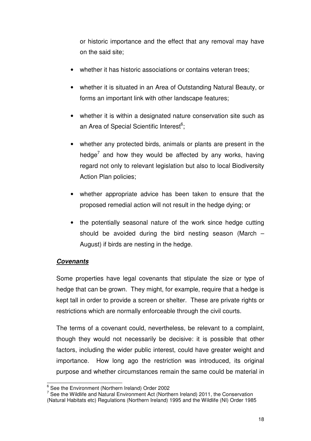or historic importance and the effect that any removal may have on the said site;

- whether it has historic associations or contains veteran trees;
- whether it is situated in an Area of Outstanding Natural Beauty, or forms an important link with other landscape features;
- whether it is within a designated nature conservation site such as an Area of Special Scientific Interest<sup>6</sup>;
- whether any protected birds, animals or plants are present in the hedge<sup>7</sup> and how they would be affected by any works, having regard not only to relevant legislation but also to local Biodiversity Action Plan policies;
- whether appropriate advice has been taken to ensure that the proposed remedial action will not result in the hedge dying; or
- the potentially seasonal nature of the work since hedge cutting should be avoided during the bird nesting season (March – August) if birds are nesting in the hedge.

#### **Covenants**

Some properties have legal covenants that stipulate the size or type of hedge that can be grown. They might, for example, require that a hedge is kept tall in order to provide a screen or shelter. These are private rights or restrictions which are normally enforceable through the civil courts.

The terms of a covenant could, nevertheless, be relevant to a complaint, though they would not necessarily be decisive: it is possible that other factors, including the wider public interest, could have greater weight and importance. How long ago the restriction was introduced, its original purpose and whether circumstances remain the same could be material in

 6 See the Environment (Northern Ireland) Order 2002

 $7$  See the Wildlife and Natural Environment Act (Northern Ireland) 2011, the Conservation (Natural Habitats etc) Regulations (Northern Ireland) 1995 and the Wildlife (NI) Order 1985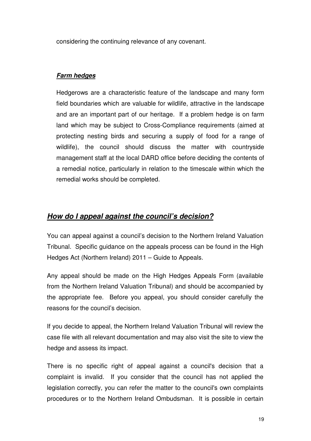considering the continuing relevance of any covenant.

## **Farm hedges**

Hedgerows are a characteristic feature of the landscape and many form field boundaries which are valuable for wildlife, attractive in the landscape and are an important part of our heritage. If a problem hedge is on farm land which may be subject to Cross-Compliance requirements (aimed at protecting nesting birds and securing a supply of food for a range of wildlife), the council should discuss the matter with countryside management staff at the local DARD office before deciding the contents of a remedial notice, particularly in relation to the timescale within which the remedial works should be completed.

## **How do I appeal against the council's decision?**

You can appeal against a council's decision to the Northern Ireland Valuation Tribunal. Specific guidance on the appeals process can be found in the High Hedges Act (Northern Ireland) 2011 – Guide to Appeals.

Any appeal should be made on the High Hedges Appeals Form (available from the Northern Ireland Valuation Tribunal) and should be accompanied by the appropriate fee. Before you appeal, you should consider carefully the reasons for the council's decision.

If you decide to appeal, the Northern Ireland Valuation Tribunal will review the case file with all relevant documentation and may also visit the site to view the hedge and assess its impact.

There is no specific right of appeal against a council's decision that a complaint is invalid. If you consider that the council has not applied the legislation correctly, you can refer the matter to the council's own complaints procedures or to the Northern Ireland Ombudsman. It is possible in certain